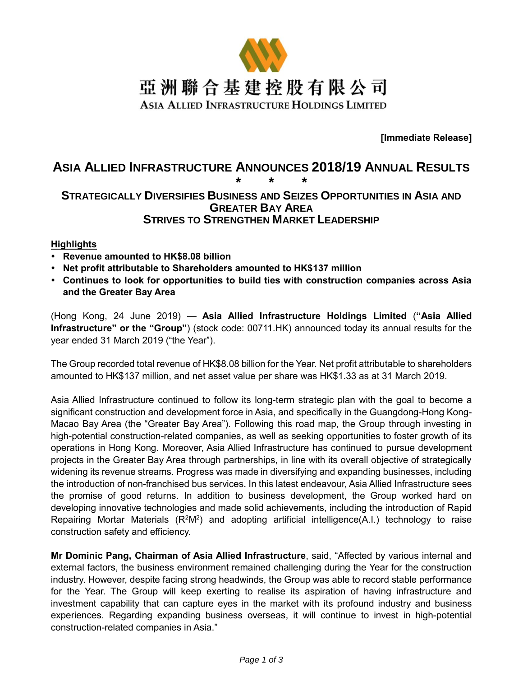

**[Immediate Release]**

# **ASIA ALLIED INFRASTRUCTURE ANNOUNCES 2018/19 ANNUAL RESULTS**

## **\* \* \* STRATEGICALLY DIVERSIFIES BUSINESS AND SEIZES OPPORTUNITIES IN ASIA AND GREATER BAY AREA STRIVES TO STRENGTHEN MARKET LEADERSHIP**

## **Highlights**

- **Revenue amounted to HK\$8.08 billion**
- **Net profit attributable to Shareholders amounted to HK\$137 million**
- **Continues to look for opportunities to build ties with construction companies across Asia and the Greater Bay Area**

(Hong Kong, 24 June 2019) — **Asia Allied Infrastructure Holdings Limited** (**"Asia Allied Infrastructure" or the "Group"**) (stock code: 00711.HK) announced today its annual results for the year ended 31 March 2019 ("the Year").

The Group recorded total revenue of HK\$8.08 billion for the Year. Net profit attributable to shareholders amounted to HK\$137 million, and net asset value per share was HK\$1.33 as at 31 March 2019.

Asia Allied Infrastructure continued to follow its long-term strategic plan with the goal to become a significant construction and development force in Asia, and specifically in the Guangdong-Hong Kong-Macao Bay Area (the "Greater Bay Area"). Following this road map, the Group through investing in high-potential construction-related companies, as well as seeking opportunities to foster growth of its operations in Hong Kong. Moreover, Asia Allied Infrastructure has continued to pursue development projects in the Greater Bay Area through partnerships, in line with its overall objective of strategically widening its revenue streams. Progress was made in diversifying and expanding businesses, including the introduction of non-franchised bus services. In this latest endeavour, Asia Allied Infrastructure sees the promise of good returns. In addition to business development, the Group worked hard on developing innovative technologies and made solid achievements, including the introduction of Rapid Repairing Mortar Materials  $(R^2M^2)$  and adopting artificial intelligence(A.I.) technology to raise construction safety and efficiency.

**Mr Dominic Pang, Chairman of Asia Allied Infrastructure**, said, "Affected by various internal and external factors, the business environment remained challenging during the Year for the construction industry. However, despite facing strong headwinds, the Group was able to record stable performance for the Year. The Group will keep exerting to realise its aspiration of having infrastructure and investment capability that can capture eyes in the market with its profound industry and business experiences. Regarding expanding business overseas, it will continue to invest in high-potential construction-related companies in Asia."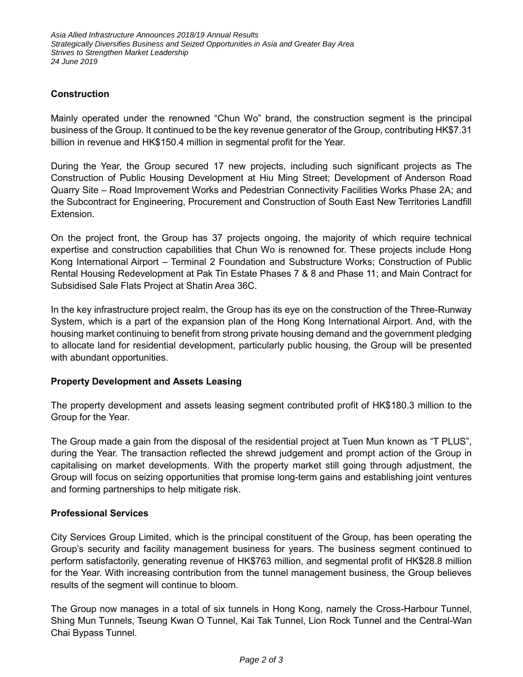## **Construction**

Mainly operated under the renowned "Chun Wo" brand, the construction segment is the principal business of the Group. It continued to be the key revenue generator of the Group, contributing HK\$7.31 billion in revenue and HK\$150.4 million in segmental profit for the Year.

During the Year, the Group secured 17 new projects, including such significant projects as The Construction of Public Housing Development at Hiu Ming Street; Development of Anderson Road Quarry Site – Road Improvement Works and Pedestrian Connectivity Facilities Works Phase 2A; and the Subcontract for Engineering, Procurement and Construction of South East New Territories Landfill Extension.

On the project front, the Group has 37 projects ongoing, the majority of which require technical expertise and construction capabilities that Chun Wo is renowned for. These projects include Hong Kong International Airport – Terminal 2 Foundation and Substructure Works; Construction of Public Rental Housing Redevelopment at Pak Tin Estate Phases 7 & 8 and Phase 11; and Main Contract for Subsidised Sale Flats Project at Shatin Area 36C.

In the key infrastructure project realm, the Group has its eye on the construction of the Three-Runway System, which is a part of the expansion plan of the Hong Kong International Airport. And, with the housing market continuing to benefit from strong private housing demand and the government pledging to allocate land for residential development, particularly public housing, the Group will be presented with abundant opportunities.

## **Property Development and Assets Leasing**

The property development and assets leasing segment contributed profit of HK\$180.3 million to the Group for the Year.

The Group made a gain from the disposal of the residential project at Tuen Mun known as "T PLUS", during the Year. The transaction reflected the shrewd judgement and prompt action of the Group in capitalising on market developments. With the property market still going through adjustment, the Group will focus on seizing opportunities that promise long-term gains and establishing joint ventures and forming partnerships to help mitigate risk.

#### **Professional Services**

City Services Group Limited, which is the principal constituent of the Group, has been operating the Group's security and facility management business for years. The business segment continued to perform satisfactorily, generating revenue of HK\$763 million, and segmental profit of HK\$28.8 million for the Year. With increasing contribution from the tunnel management business, the Group believes results of the segment will continue to bloom.

The Group now manages in a total of six tunnels in Hong Kong, namely the Cross-Harbour Tunnel, Shing Mun Tunnels, Tseung Kwan O Tunnel, Kai Tak Tunnel, Lion Rock Tunnel and the Central-Wan Chai Bypass Tunnel.